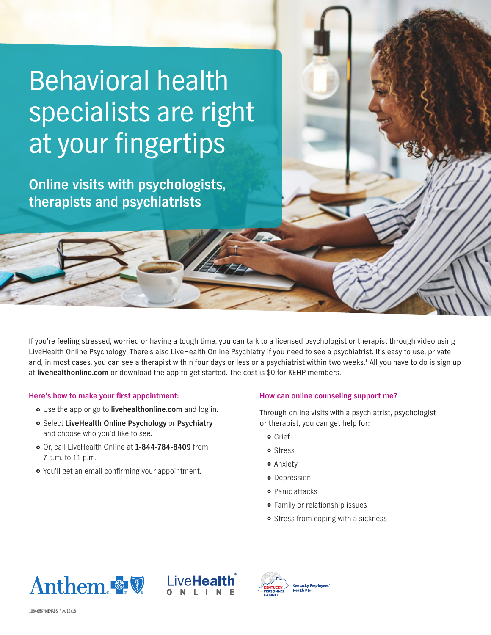# Behavioral health specialists are right at your fingertips

**Online visits with psychologists, therapists and psychiatrists** 

If you're feeling stressed, worried or having a tough time, you can talk to a licensed psychologist or therapist through video using LiveHealth Online Psychology. There's also LiveHealth Online Psychiatry if you need to see a psychiatrist. It's easy to use, private and, in most cases, you can see a therapist within four days or less or a psychiatrist within two weeks.<sup>1</sup> All you have to do is sign up at **livehealthonline.com** or download the app to get started. The cost is \$0 for KEHP members.

## **Here's how to make your first appointment:**

- } Use the app or go to **livehealthonline.com** and log in.
- } Select **LiveHealth Online Psychology** or **Psychiatry** and choose who you'd like to see.
- } Or, call LiveHealth Online at **1-844-784-8409** from 7 a.m. to 11 p.m.
- You'll get an email confirming your appointment.

## **How can online counseling support me?**

Through online visits with a psychiatrist, psychologist or therapist, you can get help for:

- **•** Grief
- **o** Stress
- **•** Anxiety
- **•** Depression
- **•** Panic attacks
- **•** Family or relationship issues
- Stress from coping with a sickness